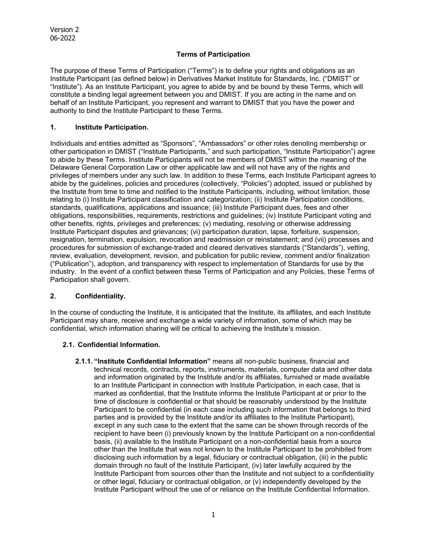### **Terms of Participation**

The purpose of these Terms of Participation ("Terms") is to define your rights and obligations as an Institute Participant (as defined below) in Derivatives Market Institute for Standards, Inc. ("DMIST" or "Institute"). As an Institute Participant, you agree to abide by and be bound by these Terms, which will constitute a binding legal agreement between you and DMIST. If you are acting in the name and on behalf of an Institute Participant, you represent and warrant to DMIST that you have the power and authority to bind the Institute Participant to these Terms.

### **1. Institute Participation.**

Individuals and entities admitted as "Sponsors", "Ambassadors" or other roles denoting membership or other participation in DMIST ("Institute Participants," and such participation, "Institute Participation") agree to abide by these Terms. Institute Participants will not be members of DMIST within the meaning of the Delaware General Corporation Law or other applicable law and will not have any of the rights and privileges of members under any such law. In addition to these Terms, each Institute Participant agrees to abide by the guidelines, policies and procedures (collectively, "Policies") adopted, issued or published by the Institute from time to time and notified to the Institute Participants, including, without limitation, those relating to (i) Institute Participant classification and categorization; (ii) Institute Participation conditions, standards, qualifications, applications and issuance; (iii) Institute Participant dues, fees and other obligations, responsibilities, requirements, restrictions and guidelines; (iv) Institute Participant voting and other benefits, rights, privileges and preferences; (v) mediating, resolving or otherwise addressing Institute Participant disputes and grievances; (vi) participation duration, lapse, forfeiture, suspension, resignation, termination, expulsion, revocation and readmission or reinstatement; and (vii) processes and procedures for submission of exchange-traded and cleared derivatives standards ("Standards"), vetting, review, evaluation, development, revision, and publication for public review, comment and/or finalization ("Publication"), adoption, and transparency with respect to implementation of Standards for use by the industry. In the event of a conflict between these Terms of Participation and any Policies, these Terms of Participation shall govern.

## **2. Confidentiality.**

In the course of conducting the Institute, it is anticipated that the Institute, its affiliates, and each Institute Participant may share, receive and exchange a wide variety of information, some of which may be confidential, which information sharing will be critical to achieving the Institute's mission.

#### **2.1. Confidential Information.**

**2.1.1. "Institute Confidential Information"** means all non-public business, financial and technical records, contracts, reports, instruments, materials, computer data and other data and information originated by the Institute and/or its affiliates, furnished or made available to an Institute Participant in connection with Institute Participation, in each case, that is marked as confidential, that the Institute informs the Institute Participant at or prior to the time of disclosure is confidential or that should be reasonably understood by the Institute Participant to be confidential (in each case including such information that belongs to third parties and is provided by the Institute and/or its affiliates to the Institute Participant), except in any such case to the extent that the same can be shown through records of the recipient to have been (i) previously known by the Institute Participant on a non-confidential basis, (ii) available to the Institute Participant on a non-confidential basis from a source other than the Institute that was not known to the Institute Participant to be prohibited from disclosing such information by a legal, fiduciary or contractual obligation, (iii) in the public domain through no fault of the Institute Participant, (iv) later lawfully acquired by the Institute Participant from sources other than the Institute and not subject to a confidentiality or other legal, fiduciary or contractual obligation, or (v) independently developed by the Institute Participant without the use of or reliance on the Institute Confidential Information.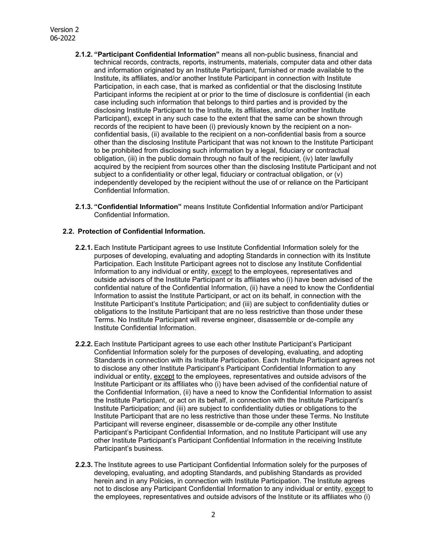- **2.1.2. "Participant Confidential Information"** means all non-public business, financial and technical records, contracts, reports, instruments, materials, computer data and other data and information originated by an Institute Participant, furnished or made available to the Institute, its affiliates, and/or another Institute Participant in connection with Institute Participation, in each case, that is marked as confidential or that the disclosing Institute Participant informs the recipient at or prior to the time of disclosure is confidential (in each case including such information that belongs to third parties and is provided by the disclosing Institute Participant to the Institute, its affiliates, and/or another Institute Participant), except in any such case to the extent that the same can be shown through records of the recipient to have been (i) previously known by the recipient on a nonconfidential basis, (ii) available to the recipient on a non-confidential basis from a source other than the disclosing Institute Participant that was not known to the Institute Participant to be prohibited from disclosing such information by a legal, fiduciary or contractual obligation, (iii) in the public domain through no fault of the recipient, (iv) later lawfully acquired by the recipient from sources other than the disclosing Institute Participant and not subject to a confidentiality or other legal, fiduciary or contractual obligation, or (v) independently developed by the recipient without the use of or reliance on the Participant Confidential Information.
- **2.1.3. "Confidential Information"** means Institute Confidential Information and/or Participant Confidential Information.

#### **2.2. Protection of Confidential Information.**

- **2.2.1.** Each Institute Participant agrees to use Institute Confidential Information solely for the purposes of developing, evaluating and adopting Standards in connection with its Institute Participation. Each Institute Participant agrees not to disclose any Institute Confidential Information to any individual or entity, except to the employees, representatives and outside advisors of the Institute Participant or its affiliates who (i) have been advised of the confidential nature of the Confidential Information, (ii) have a need to know the Confidential Information to assist the Institute Participant, or act on its behalf, in connection with the Institute Participant's Institute Participation; and (iii) are subject to confidentiality duties or obligations to the Institute Participant that are no less restrictive than those under these Terms. No Institute Participant will reverse engineer, disassemble or de-compile any Institute Confidential Information.
- **2.2.2.** Each Institute Participant agrees to use each other Institute Participant's Participant Confidential Information solely for the purposes of developing, evaluating, and adopting Standards in connection with its Institute Participation. Each Institute Participant agrees not to disclose any other Institute Participant's Participant Confidential Information to any individual or entity, except to the employees, representatives and outside advisors of the Institute Participant or its affiliates who (i) have been advised of the confidential nature of the Confidential Information, (ii) have a need to know the Confidential Information to assist the Institute Participant, or act on its behalf, in connection with the Institute Participant's Institute Participation; and (iii) are subject to confidentiality duties or obligations to the Institute Participant that are no less restrictive than those under these Terms. No Institute Participant will reverse engineer, disassemble or de-compile any other Institute Participant's Participant Confidential Information, and no Institute Participant will use any other Institute Participant's Participant Confidential Information in the receiving Institute Participant's business.
- **2.2.3.** The Institute agrees to use Participant Confidential Information solely for the purposes of developing, evaluating, and adopting Standards, and publishing Standards as provided herein and in any Policies, in connection with Institute Participation. The Institute agrees not to disclose any Participant Confidential Information to any individual or entity, except to the employees, representatives and outside advisors of the Institute or its affiliates who (i)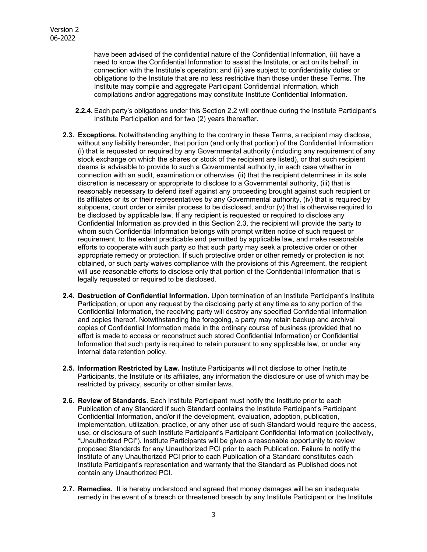have been advised of the confidential nature of the Confidential Information, (ii) have a need to know the Confidential Information to assist the Institute, or act on its behalf, in connection with the Institute's operation; and (iii) are subject to confidentiality duties or obligations to the Institute that are no less restrictive than those under these Terms. The Institute may compile and aggregate Participant Confidential Information, which compilations and/or aggregations may constitute Institute Confidential Information.

- **2.2.4.** Each party's obligations under this Section 2.2 will continue during the Institute Participant's Institute Participation and for two (2) years thereafter.
- **2.3. Exceptions.** Notwithstanding anything to the contrary in these Terms, a recipient may disclose, without any liability hereunder, that portion (and only that portion) of the Confidential Information (i) that is requested or required by any Governmental authority (including any requirement of any stock exchange on which the shares or stock of the recipient are listed), or that such recipient deems is advisable to provide to such a Governmental authority, in each case whether in connection with an audit, examination or otherwise, (ii) that the recipient determines in its sole discretion is necessary or appropriate to disclose to a Governmental authority, (iii) that is reasonably necessary to defend itself against any proceeding brought against such recipient or its affiliates or its or their representatives by any Governmental authority, (iv) that is required by subpoena, court order or similar process to be disclosed, and/or (v) that is otherwise required to be disclosed by applicable law. If any recipient is requested or required to disclose any Confidential Information as provided in this Section 2.3, the recipient will provide the party to whom such Confidential Information belongs with prompt written notice of such request or requirement, to the extent practicable and permitted by applicable law, and make reasonable efforts to cooperate with such party so that such party may seek a protective order or other appropriate remedy or protection. If such protective order or other remedy or protection is not obtained, or such party waives compliance with the provisions of this Agreement, the recipient will use reasonable efforts to disclose only that portion of the Confidential Information that is legally requested or required to be disclosed.
- **2.4. Destruction of Confidential Information.** Upon termination of an Institute Participant's Institute Participation, or upon any request by the disclosing party at any time as to any portion of the Confidential Information, the receiving party will destroy any specified Confidential Information and copies thereof. Notwithstanding the foregoing, a party may retain backup and archival copies of Confidential Information made in the ordinary course of business (provided that no effort is made to access or reconstruct such stored Confidential Information) or Confidential Information that such party is required to retain pursuant to any applicable law, or under any internal data retention policy.
- **2.5. Information Restricted by Law.** Institute Participants will not disclose to other Institute Participants, the Institute or its affiliates, any information the disclosure or use of which may be restricted by privacy, security or other similar laws.
- **2.6. Review of Standards.** Each Institute Participant must notify the Institute prior to each Publication of any Standard if such Standard contains the Institute Participant's Participant Confidential Information, and/or if the development, evaluation, adoption, publication, implementation, utilization, practice, or any other use of such Standard would require the access, use, or disclosure of such Institute Participant's Participant Confidential Information (collectively, "Unauthorized PCI"). Institute Participants will be given a reasonable opportunity to review proposed Standards for any Unauthorized PCI prior to each Publication. Failure to notify the Institute of any Unauthorized PCI prior to each Publication of a Standard constitutes each Institute Participant's representation and warranty that the Standard as Published does not contain any Unauthorized PCI.
- **2.7. Remedies.** It is hereby understood and agreed that money damages will be an inadequate remedy in the event of a breach or threatened breach by any Institute Participant or the Institute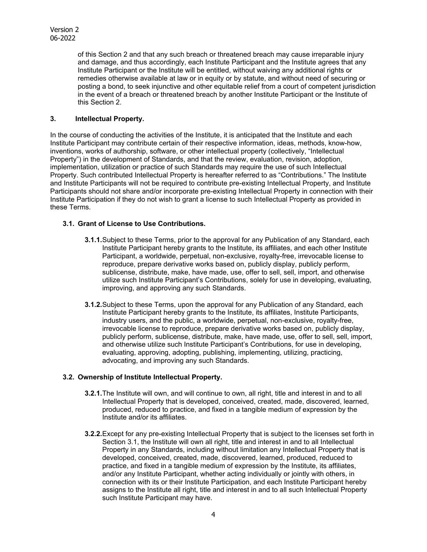of this Section 2 and that any such breach or threatened breach may cause irreparable injury and damage, and thus accordingly, each Institute Participant and the Institute agrees that any Institute Participant or the Institute will be entitled, without waiving any additional rights or remedies otherwise available at law or in equity or by statute, and without need of securing or posting a bond, to seek injunctive and other equitable relief from a court of competent jurisdiction in the event of a breach or threatened breach by another Institute Participant or the Institute of this Section 2.

# **3. Intellectual Property.**

In the course of conducting the activities of the Institute, it is anticipated that the Institute and each Institute Participant may contribute certain of their respective information, ideas, methods, know-how, inventions, works of authorship, software, or other intellectual property (collectively, "Intellectual Property") in the development of Standards, and that the review, evaluation, revision, adoption, implementation, utilization or practice of such Standards may require the use of such Intellectual Property. Such contributed Intellectual Property is hereafter referred to as "Contributions." The Institute and Institute Participants will not be required to contribute pre-existing Intellectual Property, and Institute Participants should not share and/or incorporate pre-existing Intellectual Property in connection with their Institute Participation if they do not wish to grant a license to such Intellectual Property as provided in these Terms.

## **3.1. Grant of License to Use Contributions.**

- **3.1.1.** Subject to these Terms, prior to the approval for any Publication of any Standard, each Institute Participant hereby grants to the Institute, its affiliates, and each other Institute Participant, a worldwide, perpetual, non-exclusive, royalty-free, irrevocable license to reproduce, prepare derivative works based on, publicly display, publicly perform, sublicense, distribute, make, have made, use, offer to sell, sell, import, and otherwise utilize such Institute Participant's Contributions, solely for use in developing, evaluating, improving, and approving any such Standards.
- **3.1.2.** Subject to these Terms, upon the approval for any Publication of any Standard, each Institute Participant hereby grants to the Institute, its affiliates, Institute Participants, industry users, and the public, a worldwide, perpetual, non-exclusive, royalty-free, irrevocable license to reproduce, prepare derivative works based on, publicly display, publicly perform, sublicense, distribute, make, have made, use, offer to sell, sell, import, and otherwise utilize such Institute Participant's Contributions, for use in developing, evaluating, approving, adopting, publishing, implementing, utilizing, practicing, advocating, and improving any such Standards.

## **3.2. Ownership of Institute Intellectual Property.**

- **3.2.1.** The Institute will own, and will continue to own, all right, title and interest in and to all Intellectual Property that is developed, conceived, created, made, discovered, learned, produced, reduced to practice, and fixed in a tangible medium of expression by the Institute and/or its affiliates.
- **3.2.2.** Except for any pre-existing Intellectual Property that is subject to the licenses set forth in Section 3.1, the Institute will own all right, title and interest in and to all Intellectual Property in any Standards, including without limitation any Intellectual Property that is developed, conceived, created, made, discovered, learned, produced, reduced to practice, and fixed in a tangible medium of expression by the Institute, its affiliates, and/or any Institute Participant, whether acting individually or jointly with others, in connection with its or their Institute Participation, and each Institute Participant hereby assigns to the Institute all right, title and interest in and to all such Intellectual Property such Institute Participant may have.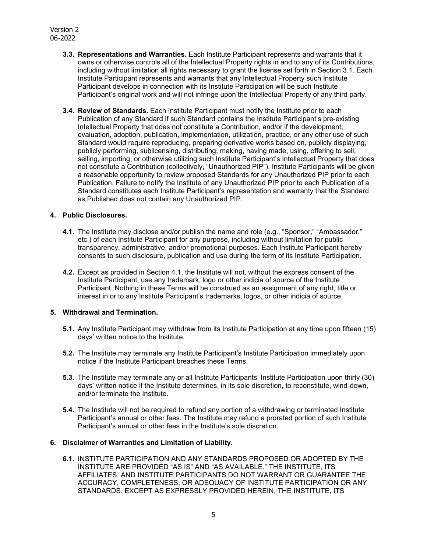# Version 2 06-2022

- **3.3. Representations and Warranties.** Each Institute Participant represents and warrants that it owns or otherwise controls all of the Intellectual Property rights in and to any of its Contributions, including without limitation all rights necessary to grant the license set forth in Section 3.1. Each Institute Participant represents and warrants that any Intellectual Property such Institute Participant develops in connection with its Institute Participation will be such Institute Participant's original work and will not infringe upon the Intellectual Property of any third party.
- **3.4. Review of Standards.** Each Institute Participant must notify the Institute prior to each Publication of any Standard if such Standard contains the Institute Participant's pre-existing Intellectual Property that does not constitute a Contribution, and/or if the development, evaluation, adoption, publication, implementation, utilization, practice, or any other use of such Standard would require reproducing, preparing derivative works based on, publicly displaying, publicly performing, sublicensing, distributing, making, having made, using, offering to sell, selling, importing, or otherwise utilizing such Institute Participant's Intellectual Property that does not constitute a Contribution (collectively, "Unauthorized PIP"). Institute Participants will be given a reasonable opportunity to review proposed Standards for any Unauthorized PIP prior to each Publication. Failure to notify the Institute of any Unauthorized PIP prior to each Publication of a Standard constitutes each Institute Participant's representation and warranty that the Standard as Published does not contain any Unauthorized PIP.

### **4. Public Disclosures.**

- **4.1.** The Institute may disclose and/or publish the name and role (e.g., "Sponsor," "Ambassador," etc.) of each Institute Participant for any purpose, including without limitation for public transparency, administrative, and/or promotional purposes. Each Institute Participant hereby consents to such disclosure, publication and use during the term of its Institute Participation.
- **4.2.** Except as provided in Section 4.1, the Institute will not, without the express consent of the Institute Participant, use any trademark, logo or other indicia of source of the Institute Participant. Nothing in these Terms will be construed as an assignment of any right, title or interest in or to any Institute Participant's trademarks, logos, or other indicia of source.

## **5. Withdrawal and Termination.**

- **5.1.** Any Institute Participant may withdraw from its Institute Participation at any time upon fifteen (15) days' written notice to the Institute.
- **5.2.** The Institute may terminate any Institute Participant's Institute Participation immediately upon notice if the Institute Participant breaches these Terms.
- **5.3.** The Institute may terminate any or all Institute Participants' Institute Participation upon thirty (30) days' written notice if the Institute determines, in its sole discretion, to reconstitute, wind-down, and/or terminate the Institute.
- **5.4.** The Institute will not be required to refund any portion of a withdrawing or terminated Institute Participant's annual or other fees. The Institute may refund a prorated portion of such Institute Participant's annual or other fees in the Institute's sole discretion.

#### **6. Disclaimer of Warranties and Limitation of Liability.**

**6.1.** INSTITUTE PARTICIPATION AND ANY STANDARDS PROPOSED OR ADOPTED BY THE INSTITUTE ARE PROVIDED "AS IS" AND "AS AVAILABLE." THE INSTITUTE, ITS AFFILIATES, AND INSTITUTE PARTICIPANTS DO NOT WARRANT OR GUARANTEE THE ACCURACY, COMPLETENESS, OR ADEQUACY OF INSTITUTE PARTICIPATION OR ANY STANDARDS. EXCEPT AS EXPRESSLY PROVIDED HEREIN, THE INSTITUTE, ITS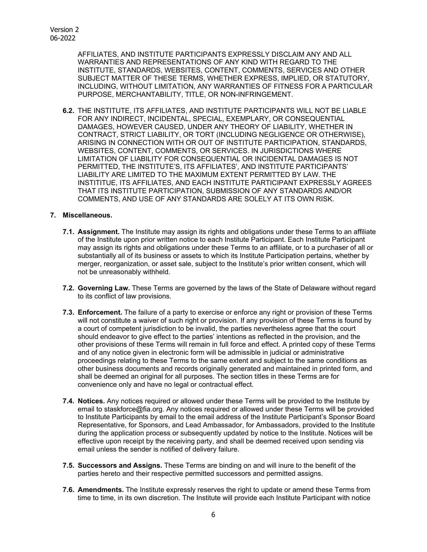AFFILIATES, AND INSTITUTE PARTICIPANTS EXPRESSLY DISCLAIM ANY AND ALL WARRANTIES AND REPRESENTATIONS OF ANY KIND WITH REGARD TO THE INSTITUTE, STANDARDS, WEBSITES, CONTENT, COMMENTS, SERVICES AND OTHER SUBJECT MATTER OF THESE TERMS, WHETHER EXPRESS, IMPLIED, OR STATUTORY, INCLUDING, WITHOUT LIMITATION, ANY WARRANTIES OF FITNESS FOR A PARTICULAR PURPOSE, MERCHANTABILITY, TITLE, OR NON-INFRINGEMENT.

**6.2.** THE INSTITUTE, ITS AFFILIATES, AND INSTITUTE PARTICIPANTS WILL NOT BE LIABLE FOR ANY INDIRECT, INCIDENTAL, SPECIAL, EXEMPLARY, OR CONSEQUENTIAL DAMAGES, HOWEVER CAUSED, UNDER ANY THEORY OF LIABILITY, WHETHER IN CONTRACT, STRICT LIABILITY, OR TORT (INCLUDING NEGLIGENCE OR OTHERWISE), ARISING IN CONNECTION WITH OR OUT OF INSTITUTE PARTICIPATION, STANDARDS, WEBSITES, CONTENT, COMMENTS, OR SERVICES. IN JURISDICTIONS WHERE LIMITATION OF LIABILITY FOR CONSEQUENTIAL OR INCIDENTAL DAMAGES IS NOT PERMITTED, THE INSTITUTE'S, ITS AFFILIATES', AND INSTITUTE PARTICIPANTS' LIABILITY ARE LIMITED TO THE MAXIMUM EXTENT PERMITTED BY LAW. THE INSTITITUE, ITS AFFILIATES, AND EACH INSTITUTE PARTICIPANT EXPRESSLY AGREES THAT ITS INSTITUTE PARTICIPATION, SUBMISSION OF ANY STANDARDS AND/OR COMMENTS, AND USE OF ANY STANDARDS ARE SOLELY AT ITS OWN RISK.

### **7. Miscellaneous.**

- **7.1. Assignment.** The Institute may assign its rights and obligations under these Terms to an affiliate of the Institute upon prior written notice to each Institute Participant. Each Institute Participant may assign its rights and obligations under these Terms to an affiliate, or to a purchaser of all or substantially all of its business or assets to which its Institute Participation pertains, whether by merger, reorganization, or asset sale, subject to the Institute's prior written consent, which will not be unreasonably withheld.
- **7.2. Governing Law.** These Terms are governed by the laws of the State of Delaware without regard to its conflict of law provisions.
- **7.3. Enforcement.** The failure of a party to exercise or enforce any right or provision of these Terms will not constitute a waiver of such right or provision. If any provision of these Terms is found by a court of competent jurisdiction to be invalid, the parties nevertheless agree that the court should endeavor to give effect to the parties' intentions as reflected in the provision, and the other provisions of these Terms will remain in full force and effect. A printed copy of these Terms and of any notice given in electronic form will be admissible in judicial or administrative proceedings relating to these Terms to the same extent and subject to the same conditions as other business documents and records originally generated and maintained in printed form, and shall be deemed an original for all purposes. The section titles in these Terms are for convenience only and have no legal or contractual effect.
- **7.4. Notices.** Any notices required or allowed under these Terms will be provided to the Institute by email to staskforce@fia.org. Any notices required or allowed under these Terms will be provided to Institute Participants by email to the email address of the Institute Participant's Sponsor Board Representative, for Sponsors, and Lead Ambassador, for Ambassadors, provided to the Institute during the application process or subsequently updated by notice to the Institute. Notices will be effective upon receipt by the receiving party, and shall be deemed received upon sending via email unless the sender is notified of delivery failure.
- **7.5. Successors and Assigns.** These Terms are binding on and will inure to the benefit of the parties hereto and their respective permitted successors and permitted assigns.
- **7.6. Amendments.** The Institute expressly reserves the right to update or amend these Terms from time to time, in its own discretion. The Institute will provide each Institute Participant with notice